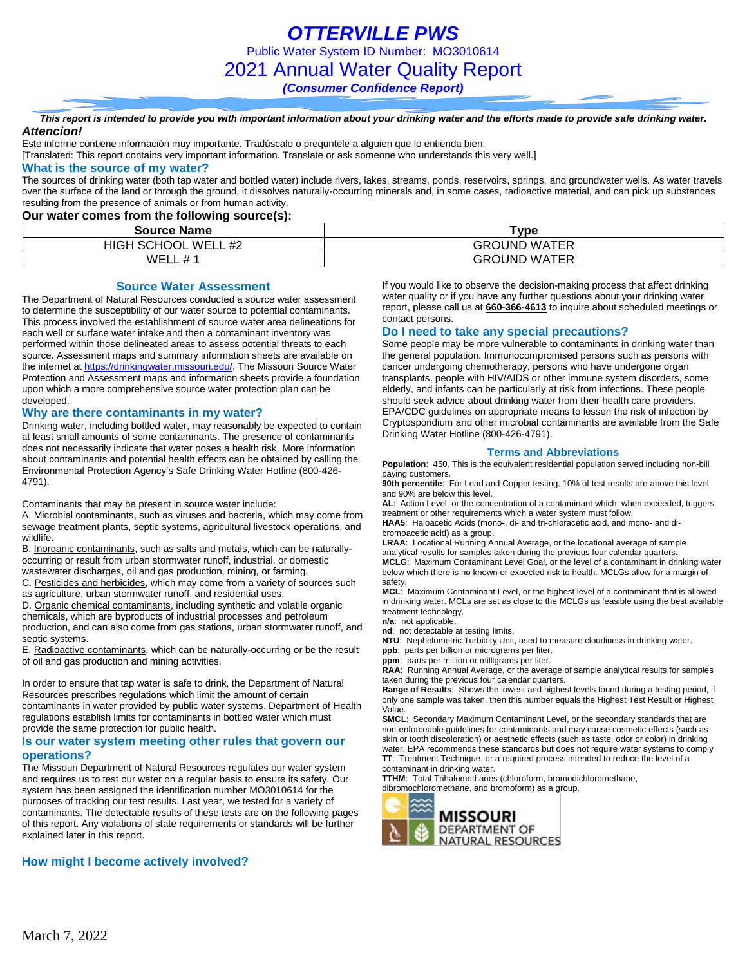*OTTERVILLE PWS* Public Water System ID Number: MO3010614 2021 Annual Water Quality Report *(Consumer Confidence Report)*

#### *This report is intended to provide you with important information about your drinking water and the efforts made to provide safe drinking water. Attencion!*

Este informe contiene información muy importante. Tradúscalo o prequntele a alguien que lo entienda bien.

[Translated: This report contains very important information. Translate or ask someone who understands this very well.]

#### **What is the source of my water?**

The sources of drinking water (both tap water and bottled water) include rivers, lakes, streams, ponds, reservoirs, springs, and groundwater wells. As water travels over the surface of the land or through the ground, it dissolves naturally-occurring minerals and, in some cases, radioactive material, and can pick up substances resulting from the presence of animals or from human activity.

#### **Our water comes from the following source(s):**

| <b>Source Name</b>                               | ™vpe                |
|--------------------------------------------------|---------------------|
| <b>WFI</b><br>' SCHOOL<br>/ELL #2<br><b>HIGH</b> | <b>GROUND WATER</b> |
| WE.<br>$\overline{u}$                            | <b>GROUND WATER</b> |

#### **Source Water Assessment**

The Department of Natural Resources conducted a source water assessment to determine the susceptibility of our water source to potential contaminants. This process involved the establishment of source water area delineations for each well or surface water intake and then a contaminant inventory was performed within those delineated areas to assess potential threats to each source. Assessment maps and summary information sheets are available on the internet a[t https://drinkingwater.missouri.edu/.](https://drinkingwater.missouri.edu/) The Missouri Source Water Protection and Assessment maps and information sheets provide a foundation upon which a more comprehensive source water protection plan can be developed.

#### **Why are there contaminants in my water?**

Drinking water, including bottled water, may reasonably be expected to contain at least small amounts of some contaminants. The presence of contaminants does not necessarily indicate that water poses a health risk. More information about contaminants and potential health effects can be obtained by calling the Environmental Protection Agency's Safe Drinking Water Hotline (800-426- 4791).

Contaminants that may be present in source water include:

A. Microbial contaminants, such as viruses and bacteria, which may come from sewage treatment plants, septic systems, agricultural livestock operations, and wildlife.

B. Inorganic contaminants, such as salts and metals, which can be naturallyoccurring or result from urban stormwater runoff, industrial, or domestic

wastewater discharges, oil and gas production, mining, or farming.

C. Pesticides and herbicides, which may come from a variety of sources such as agriculture, urban stormwater runoff, and residential uses.

D. Organic chemical contaminants, including synthetic and volatile organic chemicals, which are byproducts of industrial processes and petroleum production, and can also come from gas stations, urban stormwater runoff, and septic systems.

E. Radioactive contaminants, which can be naturally-occurring or be the result of oil and gas production and mining activities.

In order to ensure that tap water is safe to drink, the Department of Natural Resources prescribes regulations which limit the amount of certain contaminants in water provided by public water systems. Department of Health regulations establish limits for contaminants in bottled water which must provide the same protection for public health.

#### **Is our water system meeting other rules that govern our operations?**

The Missouri Department of Natural Resources regulates our water system and requires us to test our water on a regular basis to ensure its safety. Our system has been assigned the identification number MO3010614 for the purposes of tracking our test results. Last year, we tested for a variety of contaminants. The detectable results of these tests are on the following pages of this report. Any violations of state requirements or standards will be further explained later in this report.

#### **How might I become actively involved?**

If you would like to observe the decision-making process that affect drinking water quality or if you have any further questions about your drinking water report, please call us at **660-366-4613** to inquire about scheduled meetings or contact persons.

#### **Do I need to take any special precautions?**

Some people may be more vulnerable to contaminants in drinking water than the general population. Immunocompromised persons such as persons with cancer undergoing chemotherapy, persons who have undergone organ transplants, people with HIV/AIDS or other immune system disorders, some elderly, and infants can be particularly at risk from infections. These people should seek advice about drinking water from their health care providers. EPA/CDC guidelines on appropriate means to lessen the risk of infection by Cryptosporidium and other microbial contaminants are available from the Safe Drinking Water Hotline (800-426-4791).

#### **Terms and Abbreviations**

**Population**: 450. This is the equivalent residential population served including non-bill paying customers.

**90th percentile**: For Lead and Copper testing. 10% of test results are above this level and 90% are below this level.

**AL**: Action Level, or the concentration of a contaminant which, when exceeded, triggers treatment or other requirements which a water system must follow.

**HAA5**: Haloacetic Acids (mono-, di- and tri-chloracetic acid, and mono- and dibromoacetic acid) as a group.

**LRAA**: Locational Running Annual Average, or the locational average of sample analytical results for samples taken during the previous four calendar quarters.

**MCLG**: Maximum Contaminant Level Goal, or the level of a contaminant in drinking water below which there is no known or expected risk to health. MCLGs allow for a margin of safety.

**MCL**: Maximum Contaminant Level, or the highest level of a contaminant that is allowed in drinking water. MCLs are set as close to the MCLGs as feasible using the best available treatment technology.

**n/a**: not applicable.

**nd**: not detectable at testing limits.

**NTU**: Nephelometric Turbidity Unit, used to measure cloudiness in drinking water.

**ppb**: parts per billion or micrograms per liter. **ppm**: parts per million or milligrams per liter.

**RAA**: Running Annual Average, or the average of sample analytical results for samples taken during the previous four calendar quarters.

**Range of Results**: Shows the lowest and highest levels found during a testing period, if only one sample was taken, then this number equals the Highest Test Result or Highest Value.

**SMCL**: Secondary Maximum Contaminant Level, or the secondary standards that are non-enforceable guidelines for contaminants and may cause cosmetic effects (such as skin or tooth discoloration) or aesthetic effects (such as taste, odor or color) in drinking water. EPA recommends these standards but does not require water systems to comply **TT**: Treatment Technique, or a required process intended to reduce the level of a contaminant in drinking water.

**TTHM**: Total Trihalomethanes (chloroform, bromodichloromethane,

dibromochloromethane, and bromoform) as a group.